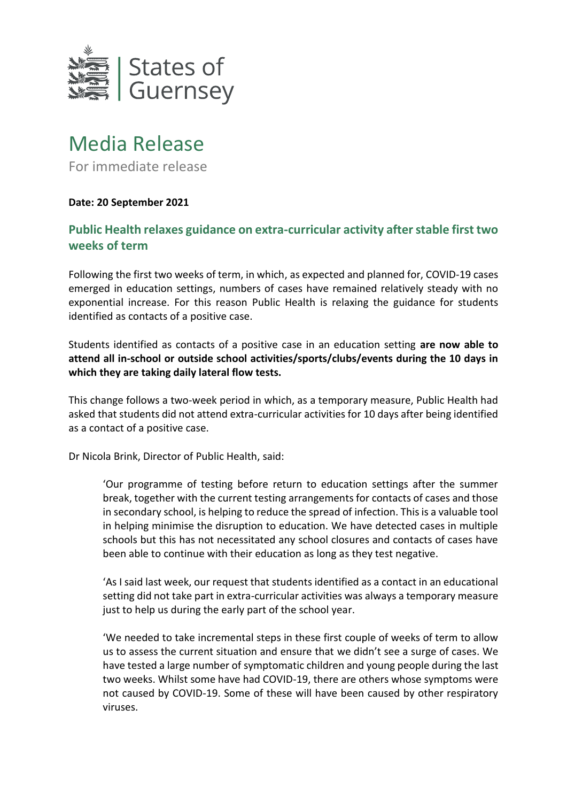

## Media Release

For immediate release

## **Date: 20 September 2021**

## **Public Health relaxes guidance on extra-curricular activity after stable first two weeks of term**

Following the first two weeks of term, in which, as expected and planned for, COVID-19 cases emerged in education settings, numbers of cases have remained relatively steady with no exponential increase. For this reason Public Health is relaxing the guidance for students identified as contacts of a positive case.

Students identified as contacts of a positive case in an education setting **are now able to attend all in-school or outside school activities/sports/clubs/events during the 10 days in which they are taking daily lateral flow tests.** 

This change follows a two-week period in which, as a temporary measure, Public Health had asked that students did not attend extra-curricular activities for 10 days after being identified as a contact of a positive case.

Dr Nicola Brink, Director of Public Health, said:

'Our programme of testing before return to education settings after the summer break, together with the current testing arrangements for contacts of cases and those in secondary school, is helping to reduce the spread of infection. This is a valuable tool in helping minimise the disruption to education. We have detected cases in multiple schools but this has not necessitated any school closures and contacts of cases have been able to continue with their education as long as they test negative.

'As I said last week, our request that students identified as a contact in an educational setting did not take part in extra-curricular activities was always a temporary measure just to help us during the early part of the school year.

'We needed to take incremental steps in these first couple of weeks of term to allow us to assess the current situation and ensure that we didn't see a surge of cases. We have tested a large number of symptomatic children and young people during the last two weeks. Whilst some have had COVID-19, there are others whose symptoms were not caused by COVID-19. Some of these will have been caused by other respiratory viruses.